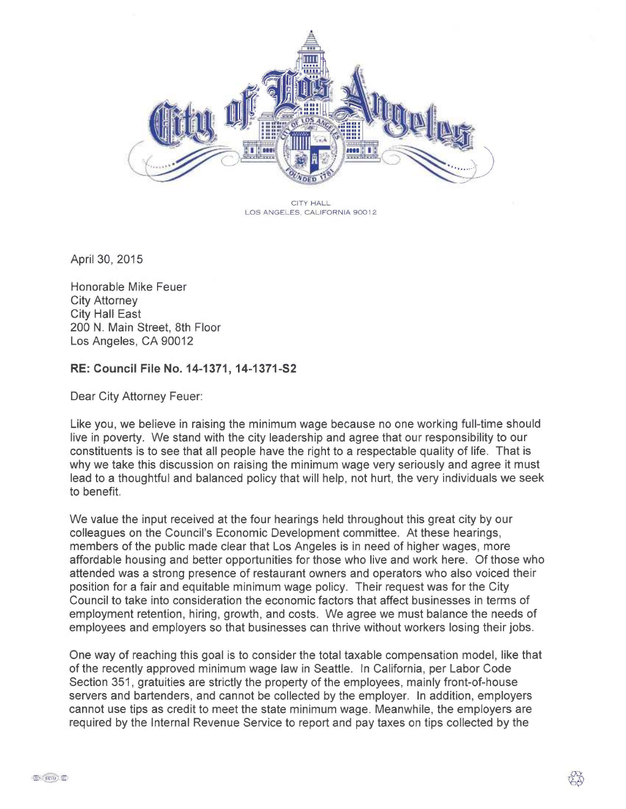

CITY HALL LOS ANGELES. CALIFORNIA 90012

April 30, 2015

Honorable Mike Feuer City Attorney City Hall East 200 N. Main Street, 8th Floor Los Angeles, CA 90012

## RE: Council File No. 14-1371, 14-1371-S2

Dear City Attorney Feuer:

Like you, we believe in raising the minimum wage because no one working full-time should live in poverty. We stand with the city leadership and agree that our responsibility to our constituents is to see that all people have the right to a respectable quality of life. That is why we take this discussion on raising the minimum wage very seriously and agree it must lead to a thoughtful and balanced policy that will help, not hurt, the very individuals we seek to benefit.

We value the input received at the four hearings held throughout this great city by our colleagues on the Council's Economic Development committee. At these hearings, members of the public made clear that Los Angeles is in need of higher wages, more affordable housing and better opportunities for those who live and work here. Of those who attended was a strong presence of restaurant owners and operators who also voiced their position for a fair and equitable minimum wage policy. Their request was for the City Council to take into consideration the economic factors that affect businesses in terms of employment retention, hiring, growth, and costs. We agree we must balance the needs of employees and employers so that businesses can thrive without workers losing their jobs.

One way of reaching this goal is to consider the total taxable compensation model, like that of the recently approved minimum wage law in Seattle. In California, per Labor Code Section 351, gratuities are strictly the property of the employees, mainly front-of-house servers and bartenders, and cannot be collected by the employer. In addition, employers cannot use tips as credit to meet the state minimum wage. Meanwhile, the employers are required by the Internal Revenue Service to report and pay taxes on tips collected by the